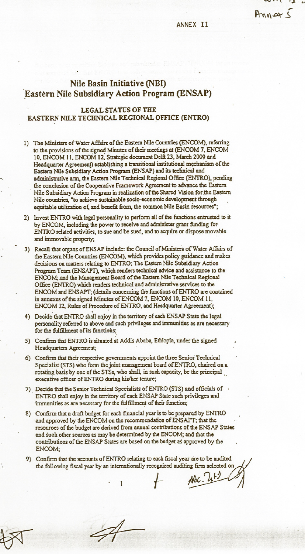## ANNEX II

 $AnnarS$ 

## Nile Basin Initiative (NBI) Eastern Nile Subsidiary Action Program (ENSAP)

## **LEGAL STATUS OF THE** EASTERN NILE TECHNICAL REGIONAL OFFICE (ENTRO)

- 1) The Ministers of Water Affairs of the Eastern Nile Countries (ENCOM), referring to the provisions of the signed Minutes of their meetings at (ENCOM 7, ENCOM . 10, ENCOM 11, ENCOM 12, Strategic document Delft 23, March 2000 and Headquarter Agreement) establishing a transitional institutional mechanism of the Eastern Nile Subsidiary Action Program (ENSAP) and its technical and administrative arm, the Eastern Nile Technical Regional Office (ENTRO), pending the conclusion of the Cooperative Framework Agreement to advance the Eastern Nile Subsidiary Action Program in realization of the Shared Vision for the Eastern
- Nile countries, "to achieve sustainable socio-economic development through equitable utilization of, and benefit from, the common Nile Basin resources"; 2) Invest ENTRO with legal personality to perform all of the functions entrusted to it by ENCOM, including the power to receive and administer grant funding for-
- ENTRO related activities, to sue and be sued, and to acquire or dispose movable and immovable property; 3) Recall that organs of ENSAP include: the Council of Ministers of Water Affairs of the Eastern Nile Countries (ENCOM), which provides policy guidance and makes decisions on matters relating to ENTRO; The Eastern Nile Subsidiary Action Program Team (ENSAPT), which renders technical advice and assistance to the ENCOM; and the Management Board of the Eastern Nile Technical Regional Office (ENTRO) which renders technical and administrative services to the ENCOM and ENSAPT; (details concerning the functions of ENTRO are contained
- in annexes of the signed Minutes of ENCOM 7, ENCOM 10, ENCOM 11, ENCOM 12, Rules of Procedure of ENTRO, and Headquarter Agreement); 4) Decide that ENTRO shall enjoy in the territory of each ENSAP State the legal
- personality referred to above and such privileges and immunities as are necessary for the fulfillment of its functions;
- 5) Confirm that ENTRO is situated at Addis Ababa, Ethiopia, under the signed Headquarters Agreement;
- 6) Confirm that their respective governments appoint the three Senior Technical Specialist (STS) who form the joint management board of ENTRO, chaired on a rotating basis by one of the STSs, who shall, in such capacity, be the principal executive officer of ENTRO during his/her tenure;
- 7) Decide that the Senior Technical Specialists of ENTRO (STS) and officials of ENTRO shall enjoy in the territory of each ENSAP State such privileges and immunities as are necessary for the fulfillment of their function;
- 8) Confirm that a draft budget for each financial year is to be prepared by ENTRO and approved by the ENCOM on the recommendation of ENSAPT; that the resources of the budget are derived from annual contributions of the ENSAP States and such other sources as may be determined by the ENCOM; and that the contributions of the ENSAP States are based on the budget as approved by the ENCOM:
- 9) Confirm that the accounts of ENTRO relating to each fiscal year are to be audited the following fiscal year by an internationally recognized auditing firm selected on

 $ABC.$   $U+2$